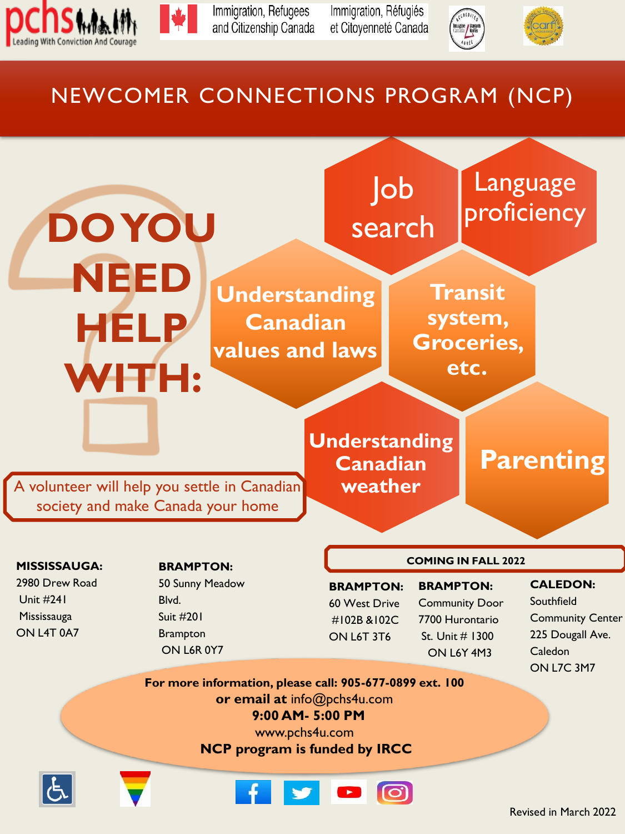



Immigration, Refugees and Citizenship Canada Immigration, Réfugiés et Citoyenneté Canada





## NEWCOMER CONNECTIONS PROGRAM (NCP)